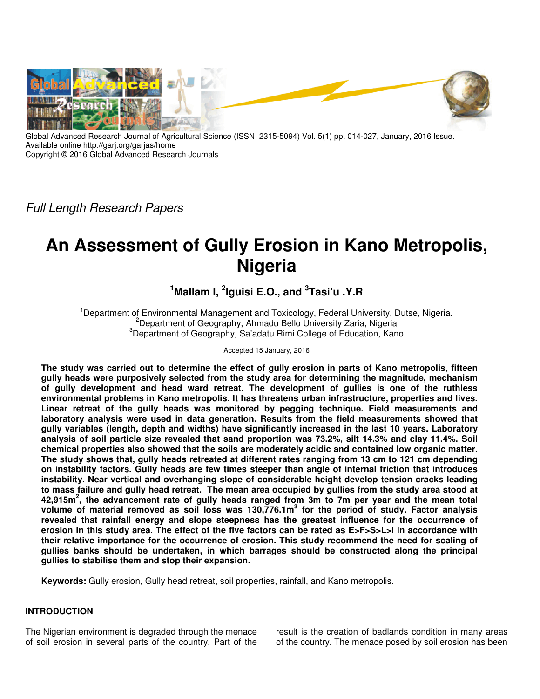

Global Advanced Research Journal of Agricultural Science (ISSN: 2315-5094) Vol. 5(1) pp. 014-027, January, 2016 Issue. Available online http://garj.org/garjas/home Copyright © 2016 Global Advanced Research Journals

*Full Length Research Papers*

# **An Assessment of Gully Erosion in Kano Metropolis, Nigeria**

# **<sup>1</sup>Mallam I, <sup>2</sup> Iguisi E.O., and <sup>3</sup> Tasi'u .Y.R**

<sup>1</sup>Department of Environmental Management and Toxicology, Federal University, Dutse, Nigeria. <sup>2</sup>Department of Geography, Ahmadu Bello University Zaria, Nigeria <sup>3</sup>Department of Geography, Sa'adatu Rimi College of Education, Kano

Accepted 15 January, 2016

**The study was carried out to determine the effect of gully erosion in parts of Kano metropolis, fifteen gully heads were purposively selected from the study area for determining the magnitude, mechanism of gully development and head ward retreat. The development of gullies is one of the ruthless environmental problems in Kano metropolis. It has threatens urban infrastructure, properties and lives. Linear retreat of the gully heads was monitored by pegging technique. Field measurements and laboratory analysis were used in data generation. Results from the field measurements showed that gully variables (length, depth and widths) have significantly increased in the last 10 years. Laboratory analysis of soil particle size revealed that sand proportion was 73.2%, silt 14.3% and clay 11.4%. Soil chemical properties also showed that the soils are moderately acidic and contained low organic matter. The study shows that, gully heads retreated at different rates ranging from 13 cm to 121 cm depending on instability factors. Gully heads are few times steeper than angle of internal friction that introduces instability. Near vertical and overhanging slope of considerable height develop tension cracks leading to mass failure and gully head retreat. The mean area occupied by gullies from the study area stood at 42,915m<sup>2</sup> , the advancement rate of gully heads ranged from 3m to 7m per year and the mean total volume of material removed as soil loss was 130,776.1m<sup>3</sup> for the period of study. Factor analysis revealed that rainfall energy and slope steepness has the greatest influence for the occurrence of erosion in this study area. The effect of the five factors can be rated as E>F>S>L>i in accordance with their relative importance for the occurrence of erosion. This study recommend the need for scaling of gullies banks should be undertaken, in which barrages should be constructed along the principal gullies to stabilise them and stop their expansion.** 

**Keywords:** Gully erosion, Gully head retreat, soil properties, rainfall, and Kano metropolis.

# **INTRODUCTION**

The Nigerian environment is degraded through the menace of soil erosion in several parts of the country. Part of the result is the creation of badlands condition in many areas of the country. The menace posed by soil erosion has been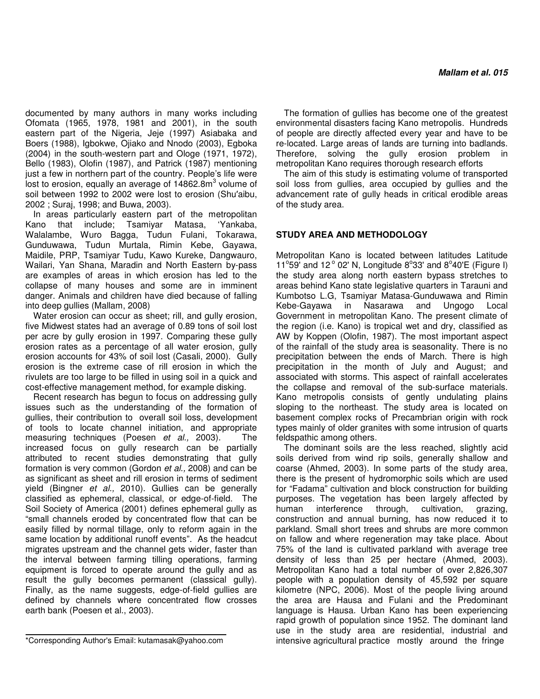documented by many authors in many works including Ofomata (1965, 1978, 1981 and 2001), in the south eastern part of the Nigeria, Jeje (1997) Asiabaka and Boers (1988), Igbokwe, Ojiako and Nnodo (2003), Egboka (2004) in the south-western part and Ologe (1971, 1972), Bello (1983), Olofin (1987), and Patrick (1987) mentioning just a few in northern part of the country. People's life were lost to erosion, equally an average of  $14862.8$ m $^3$  volume of soil between 1992 to 2002 were lost to erosion (Shu′aibu, 2002 ; Suraj, 1998; and Buwa, 2003).

In areas particularly eastern part of the metropolitan Kano that include; Tsamiyar Matasa, 'Yankaba, Walalambe, Wuro Bagga, Tudun Fulani, Tokarawa, Gunduwawa, Tudun Murtala, Rimin Kebe, Gayawa, Maidile, PRP, Tsamiyar Tudu, Kawo Kureke, Dangwauro, Wailari, Yan Shana, Maradin and North Eastern by-pass are examples of areas in which erosion has led to the collapse of many houses and some are in imminent danger. Animals and children have died because of falling into deep gullies (Mallam, 2008)

Water erosion can occur as sheet; rill, and gully erosion, five Midwest states had an average of 0.89 tons of soil lost per acre by gully erosion in 1997. Comparing these gully erosion rates as a percentage of all water erosion, gully erosion accounts for 43% of soil lost (Casali, 2000). Gully erosion is the extreme case of rill erosion in which the rivulets are too large to be filled in using soil in a quick and cost-effective management method, for example disking.

Recent research has begun to focus on addressing gully issues such as the understanding of the formation of gullies, their contribution to overall soil loss, development of tools to locate channel initiation, and appropriate measuring techniques (Poesen *et al.,* 2003). The increased focus on gully research can be partially attributed to recent studies demonstrating that gully formation is very common (Gordon *et al.,* 2008) and can be as significant as sheet and rill erosion in terms of sediment yield (Bingner *et al.,* 2010). Gullies can be generally classified as ephemeral, classical, or edge-of-field. The Soil Society of America (2001) defines ephemeral gully as "small channels eroded by concentrated flow that can be easily filled by normal tillage, only to reform again in the same location by additional runoff events". As the headcut migrates upstream and the channel gets wider, faster than the interval between farming tilling operations, farming equipment is forced to operate around the gully and as result the gully becomes permanent (classical gully). Finally, as the name suggests, edge-of-field gullies are defined by channels where concentrated flow crosses earth bank (Poesen et al., 2003).

The formation of gullies has become one of the greatest environmental disasters facing Kano metropolis. Hundreds of people are directly affected every year and have to be re-located. Large areas of lands are turning into badlands. Therefore, solving the gully erosion problem in metropolitan Kano requires thorough research efforts

The aim of this study is estimating volume of transported soil loss from gullies, area occupied by gullies and the advancement rate of gully heads in critical erodible areas of the study area.

# **STUDY AREA AND METHODOLOGY**

Metropolitan Kano is located between latitudes Latitude 11°59' and 12° 02' N, Longitude  $8^{\circ}33'$  and  $8^{\circ}40'E$  (Figure I) the study area along north eastern bypass stretches to areas behind Kano state legislative quarters in Tarauni and Kumbotso L.G, Tsamiyar Matasa-Gunduwawa and Rimin Kebe-Gayawa in Nasarawa and Ungogo Local Government in metropolitan Kano. The present climate of the region (i.e. Kano) is tropical wet and dry, classified as AW by Koppen (Olofin, 1987). The most important aspect of the rainfall of the study area is seasonality. There is no precipitation between the ends of March. There is high precipitation in the month of July and August; and associated with storms. This aspect of rainfall accelerates the collapse and removal of the sub-surface materials. Kano metropolis consists of gently undulating plains sloping to the northeast. The study area is located on basement complex rocks of Precambrian origin with rock types mainly of older granites with some intrusion of quarts feldspathic among others.

The dominant soils are the less reached, slightly acid soils derived from wind rip soils, generally shallow and coarse (Ahmed, 2003). In some parts of the study area, there is the present of hydromorphic soils which are used for "Fadama" cultivation and block construction for building purposes. The vegetation has been largely affected by<br>human interference through, cultivation, grazing, interference through, cultivation, grazing, construction and annual burning, has now reduced it to parkland. Small short trees and shrubs are more common on fallow and where regeneration may take place. About 75% of the land is cultivated parkland with average tree density of less than 25 per hectare (Ahmed, 2003). Metropolitan Kano had a total number of over 2,826,307 people with a population density of 45,592 per square kilometre (NPC, 2006). Most of the people living around the area are Hausa and Fulani and the Predominant language is Hausa. Urban Kano has been experiencing rapid growth of population since 1952. The dominant land use in the study area are residential, industrial and intensive agricultural practice mostly around the fringe

<sup>\*</sup>Corresponding Author's Email: kutamasak@yahoo.com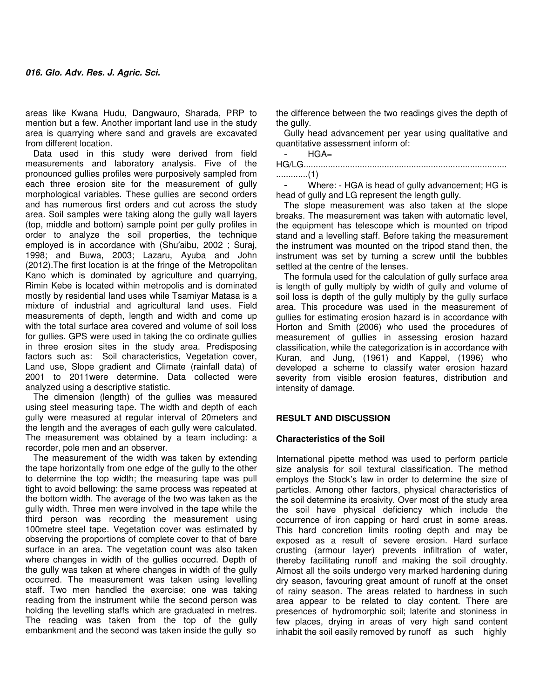areas like Kwana Hudu, Dangwauro, Sharada, PRP to mention but a few. Another important land use in the study area is quarrying where sand and gravels are excavated from different location.

Data used in this study were derived from field measurements and laboratory analysis. Five of the pronounced gullies profiles were purposively sampled from each three erosion site for the measurement of gully morphological variables. These gullies are second orders and has numerous first orders and cut across the study area. Soil samples were taking along the gully wall layers (top, middle and bottom) sample point per gully profiles in order to analyze the soil properties, the technique employed is in accordance with (Shu′aibu, 2002 ; Suraj, 1998; and Buwa, 2003; Lazaru, Ayuba and John (2012).The first location is at the fringe of the Metropolitan Kano which is dominated by agriculture and quarrying, Rimin Kebe is located within metropolis and is dominated mostly by residential land uses while Tsamiyar Matasa is a mixture of industrial and agricultural land uses. Field measurements of depth, length and width and come up with the total surface area covered and volume of soil loss for gullies. GPS were used in taking the co ordinate gullies in three erosion sites in the study area. Predisposing factors such as: Soil characteristics, Vegetation cover, Land use, Slope gradient and Climate (rainfall data) of 2001 to 2011were determine. Data collected were analyzed using a descriptive statistic.

The dimension (length) of the gullies was measured using steel measuring tape. The width and depth of each gully were measured at regular interval of 20meters and the length and the averages of each gully were calculated. The measurement was obtained by a team including: a recorder, pole men and an observer.

The measurement of the width was taken by extending the tape horizontally from one edge of the gully to the other to determine the top width; the measuring tape was pull tight to avoid bellowing: the same process was repeated at the bottom width. The average of the two was taken as the gully width. Three men were involved in the tape while the third person was recording the measurement using 100metre steel tape. Vegetation cover was estimated by observing the proportions of complete cover to that of bare surface in an area. The vegetation count was also taken where changes in width of the gullies occurred. Depth of the gully was taken at where changes in width of the gully occurred. The measurement was taken using levelling staff. Two men handled the exercise; one was taking reading from the instrument while the second person was holding the levelling staffs which are graduated in metres. The reading was taken from the top of the gully embankment and the second was taken inside the gully so

the difference between the two readings gives the depth of the gully.

Gully head advancement per year using qualitative and quantitative assessment inform of:

| $HGA=$ |  |
|--------|--|
|--------|--|

| . |  |  |
|---|--|--|

Where: - HGA is head of gully advancement; HG is head of gully and LG represent the length gully.

The slope measurement was also taken at the slope breaks. The measurement was taken with automatic level, the equipment has telescope which is mounted on tripod stand and a levelling staff. Before taking the measurement the instrument was mounted on the tripod stand then, the instrument was set by turning a screw until the bubbles settled at the centre of the lenses.

The formula used for the calculation of gully surface area is length of gully multiply by width of gully and volume of soil loss is depth of the gully multiply by the gully surface area. This procedure was used in the measurement of gullies for estimating erosion hazard is in accordance with Horton and Smith (2006) who used the procedures of measurement of gullies in assessing erosion hazard classification, while the categorization is in accordance with Kuran, and Jung, (1961) and Kappel, (1996) who developed a scheme to classify water erosion hazard severity from visible erosion features, distribution and intensity of damage.

#### **RESULT AND DISCUSSION**

#### **Characteristics of the Soil**

International pipette method was used to perform particle size analysis for soil textural classification. The method employs the Stock's law in order to determine the size of particles. Among other factors, physical characteristics of the soil determine its erosivity. Over most of the study area the soil have physical deficiency which include the occurrence of iron capping or hard crust in some areas. This hard concretion limits rooting depth and may be exposed as a result of severe erosion. Hard surface crusting (armour layer) prevents infiltration of water, thereby facilitating runoff and making the soil droughty. Almost all the soils undergo very marked hardening during dry season, favouring great amount of runoff at the onset of rainy season. The areas related to hardness in such area appear to be related to clay content. There are presences of hydromorphic soil; laterite and stoniness in few places, drying in areas of very high sand content inhabit the soil easily removed by runoff as such highly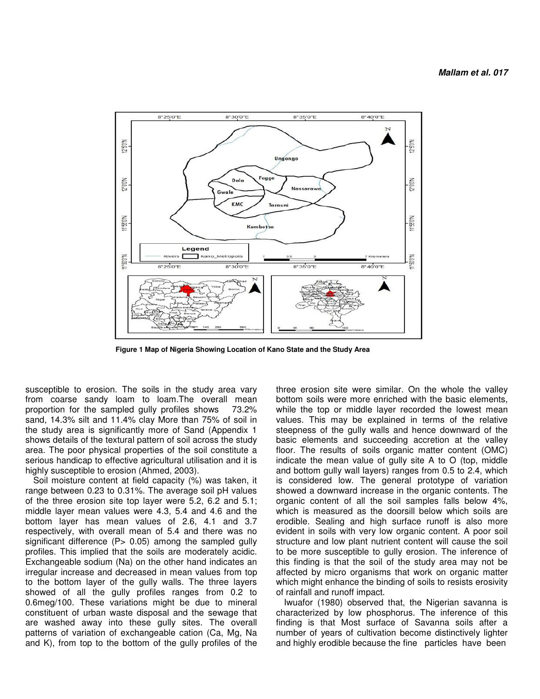

 **Figure 1 Map of Nigeria Showing Location of Kano State and the Study Area** 

susceptible to erosion. The soils in the study area vary from coarse sandy loam to loam.The overall mean proportion for the sampled gully profiles shows 73.2% sand, 14.3% silt and 11.4% clay More than 75% of soil in the study area is significantly more of Sand (Appendix 1 shows details of the textural pattern of soil across the study area. The poor physical properties of the soil constitute a serious handicap to effective agricultural utilisation and it is highly susceptible to erosion (Ahmed, 2003).

Soil moisture content at field capacity (%) was taken, it range between 0.23 to 0.31%. The average soil pH values of the three erosion site top layer were 5.2, 6.2 and 5.1; middle layer mean values were 4.3, 5.4 and 4.6 and the bottom layer has mean values of 2.6, 4.1 and 3.7 respectively, with overall mean of 5.4 and there was no significant difference  $(P> 0.05)$  among the sampled gully profiles. This implied that the soils are moderately acidic. Exchangeable sodium (Na) on the other hand indicates an irregular increase and decreased in mean values from top to the bottom layer of the gully walls. The three layers showed of all the gully profiles ranges from 0.2 to 0.6meg/100. These variations might be due to mineral constituent of urban waste disposal and the sewage that are washed away into these gully sites. The overall patterns of variation of exchangeable cation (Ca, Mg, Na and K), from top to the bottom of the gully profiles of the

three erosion site were similar. On the whole the valley bottom soils were more enriched with the basic elements, while the top or middle layer recorded the lowest mean values. This may be explained in terms of the relative steepness of the gully walls and hence downward of the basic elements and succeeding accretion at the valley floor. The results of soils organic matter content (OMC) indicate the mean value of gully site A to O (top, middle and bottom gully wall layers) ranges from 0.5 to 2.4, which is considered low. The general prototype of variation showed a downward increase in the organic contents. The organic content of all the soil samples falls below 4%, which is measured as the doorsill below which soils are erodible. Sealing and high surface runoff is also more evident in soils with very low organic content. A poor soil structure and low plant nutrient content will cause the soil to be more susceptible to gully erosion. The inference of this finding is that the soil of the study area may not be affected by micro organisms that work on organic matter which might enhance the binding of soils to resists erosivity of rainfall and runoff impact.

Iwuafor (1980) observed that, the Nigerian savanna is characterized by low phosphorus. The inference of this finding is that Most surface of Savanna soils after a number of years of cultivation become distinctively lighter and highly erodible because the fine particles have been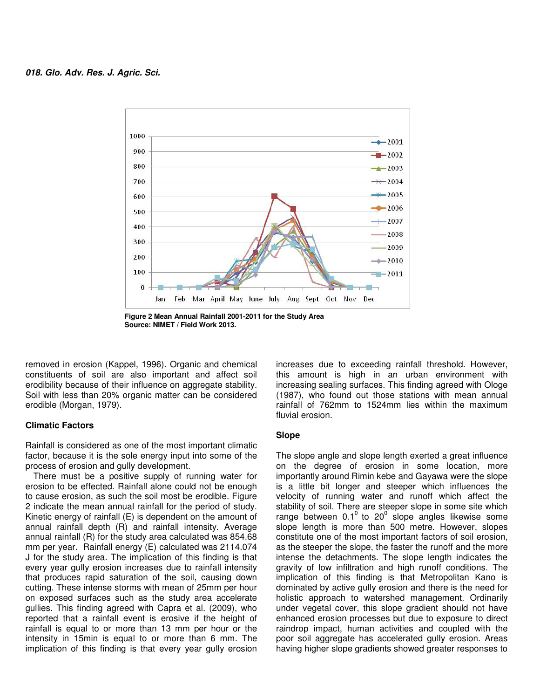

**Figure 2 Mean Annual Rainfall 2001-2011 for the Study Area Source: NIMET / Field Work 2013.** 

removed in erosion (Kappel, 1996). Organic and chemical constituents of soil are also important and affect soil erodibility because of their influence on aggregate stability. Soil with less than 20% organic matter can be considered erodible (Morgan, 1979).

### **Climatic Factors**

Rainfall is considered as one of the most important climatic factor, because it is the sole energy input into some of the process of erosion and gully development.

There must be a positive supply of running water for erosion to be effected. Rainfall alone could not be enough to cause erosion, as such the soil most be erodible. Figure 2 indicate the mean annual rainfall for the period of study. Kinetic energy of rainfall (E) is dependent on the amount of annual rainfall depth (R) and rainfall intensity. Average annual rainfall (R) for the study area calculated was 854.68 mm per year. Rainfall energy (E) calculated was 2114.074 J for the study area. The implication of this finding is that every year gully erosion increases due to rainfall intensity that produces rapid saturation of the soil, causing down cutting. These intense storms with mean of 25mm per hour on exposed surfaces such as the study area accelerate gullies. This finding agreed with Capra et al. (2009), who reported that a rainfall event is erosive if the height of rainfall is equal to or more than 13 mm per hour or the intensity in 15min is equal to or more than 6 mm. The implication of this finding is that every year gully erosion

increases due to exceeding rainfall threshold. However, this amount is high in an urban environment with increasing sealing surfaces. This finding agreed with Ologe (1987), who found out those stations with mean annual rainfall of 762mm to 1524mm lies within the maximum fluvial erosion.

#### **Slope**

The slope angle and slope length exerted a great influence on the degree of erosion in some location, more importantly around Rimin kebe and Gayawa were the slope is a little bit longer and steeper which influences the velocity of running water and runoff which affect the stability of soil. There are steeper slope in some site which range between 0.1 $^{\circ}$  to 20 $^{\circ}$  slope angles likewise some slope length is more than 500 metre. However, slopes constitute one of the most important factors of soil erosion, as the steeper the slope, the faster the runoff and the more intense the detachments. The slope length indicates the gravity of low infiltration and high runoff conditions. The implication of this finding is that Metropolitan Kano is dominated by active gully erosion and there is the need for holistic approach to watershed management. Ordinarily under vegetal cover, this slope gradient should not have enhanced erosion processes but due to exposure to direct raindrop impact, human activities and coupled with the poor soil aggregate has accelerated gully erosion. Areas having higher slope gradients showed greater responses to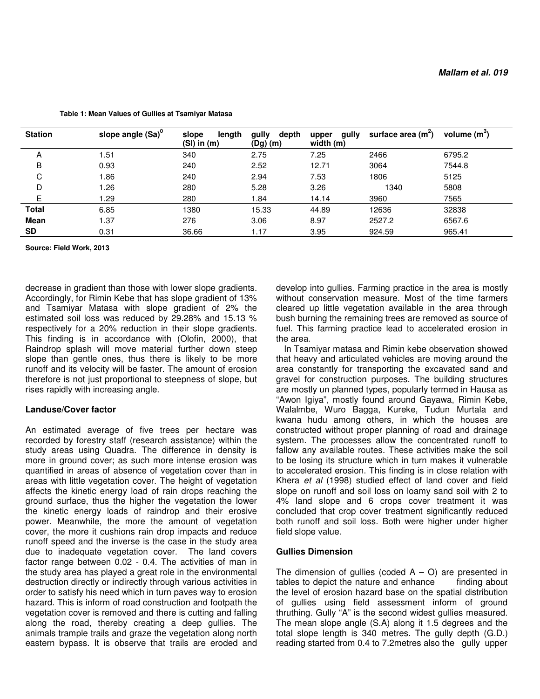| <b>Station</b> | slope angle (Sa) <sup>0</sup> | length<br>slope<br>(SI) in (m) | gully<br>depth<br>(Dg)(m) | gully<br>upper<br>width (m) | surface area (m <sup>2</sup> ) | volume $(m^3)$ |
|----------------|-------------------------------|--------------------------------|---------------------------|-----------------------------|--------------------------------|----------------|
| A              | 1.51                          | 340                            | 2.75                      | 7.25                        | 2466                           | 6795.2         |
| В              | 0.93                          | 240                            | 2.52                      | 12.71                       | 3064                           | 7544.8         |
| C              | 1.86                          | 240                            | 2.94                      | 7.53                        | 1806                           | 5125           |
| D              | 1.26                          | 280                            | 5.28                      | 3.26                        | 1340                           | 5808           |
| Е              | l.29                          | 280                            | 1.84                      | 14.14                       | 3960                           | 7565           |
| <b>Total</b>   | 6.85                          | 1380                           | 15.33                     | 44.89                       | 12636                          | 32838          |
| Mean           | 1.37                          | 276                            | 3.06                      | 8.97                        | 2527.2                         | 6567.6         |
| SD             | 0.31                          | 36.66                          | 1.17                      | 3.95                        | 924.59                         | 965.41         |

 **Table 1: Mean Values of Gullies at Tsamiyar Matasa** 

**Source: Field Work, 2013** 

decrease in gradient than those with lower slope gradients. Accordingly, for Rimin Kebe that has slope gradient of 13% and Tsamiyar Matasa with slope gradient of 2% the estimated soil loss was reduced by 29.28% and 15.13 % respectively for a 20% reduction in their slope gradients. This finding is in accordance with (Olofin, 2000), that Raindrop splash will move material further down steep slope than gentle ones, thus there is likely to be more runoff and its velocity will be faster. The amount of erosion therefore is not just proportional to steepness of slope, but rises rapidly with increasing angle.

#### **Landuse/Cover factor**

An estimated average of five trees per hectare was recorded by forestry staff (research assistance) within the study areas using Quadra. The difference in density is more in ground cover; as such more intense erosion was quantified in areas of absence of vegetation cover than in areas with little vegetation cover. The height of vegetation affects the kinetic energy load of rain drops reaching the ground surface, thus the higher the vegetation the lower the kinetic energy loads of raindrop and their erosive power. Meanwhile, the more the amount of vegetation cover, the more it cushions rain drop impacts and reduce runoff speed and the inverse is the case in the study area due to inadequate vegetation cover. The land covers factor range between 0.02 - 0.4. The activities of man in the study area has played a great role in the environmental destruction directly or indirectly through various activities in order to satisfy his need which in turn paves way to erosion hazard. This is inform of road construction and footpath the vegetation cover is removed and there is cutting and falling along the road, thereby creating a deep gullies. The animals trample trails and graze the vegetation along north eastern bypass. It is observe that trails are eroded and

develop into gullies. Farming practice in the area is mostly without conservation measure. Most of the time farmers cleared up little vegetation available in the area through bush burning the remaining trees are removed as source of fuel. This farming practice lead to accelerated erosion in the area.

In Tsamiyar matasa and Rimin kebe observation showed that heavy and articulated vehicles are moving around the area constantly for transporting the excavated sand and gravel for construction purposes. The building structures are mostly un planned types, popularly termed in Hausa as "Awon Igiya", mostly found around Gayawa, Rimin Kebe, Walalmbe, Wuro Bagga, Kureke, Tudun Murtala and kwana hudu among others, in which the houses are constructed without proper planning of road and drainage system. The processes allow the concentrated runoff to fallow any available routes. These activities make the soil to be losing its structure which in turn makes it vulnerable to accelerated erosion. This finding is in close relation with Khera *et al* (1998) studied effect of land cover and field slope on runoff and soil loss on loamy sand soil with 2 to 4% land slope and 6 crops cover treatment it was concluded that crop cover treatment significantly reduced both runoff and soil loss. Both were higher under higher field slope value.

#### **Gullies Dimension**

The dimension of gullies (coded  $A - O$ ) are presented in tables to depict the nature and enhance finding about the level of erosion hazard base on the spatial distribution of gullies using field assessment inform of ground thruthing. Gully "A" is the second widest gullies measured. The mean slope angle (S.A) along it 1.5 degrees and the total slope length is 340 metres. The gully depth (G.D.) reading started from 0.4 to 7.2metres also the gully upper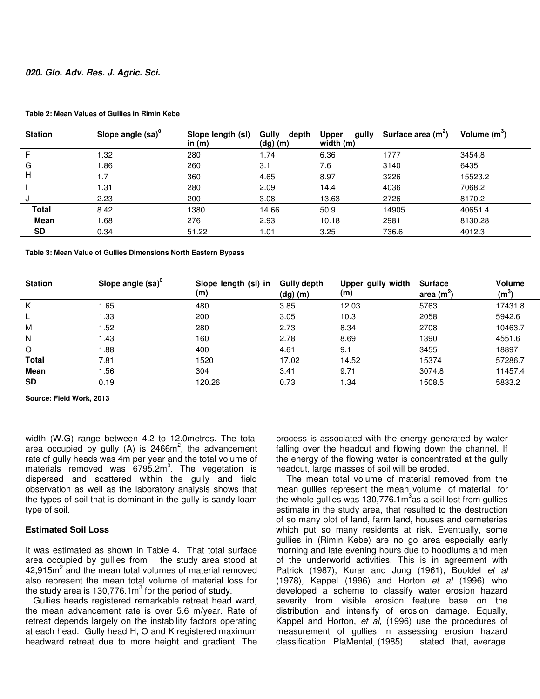| <b>Station</b> | Slope angle (sa) <sup>0</sup> | Slope length (sl)<br>in $(m)$ | Gully<br>depth<br>$(dg)$ (m) | <b>Upper</b><br>qully<br>width (m) | Surface area $(m2)$ | Volume $(m^3)$ |
|----------------|-------------------------------|-------------------------------|------------------------------|------------------------------------|---------------------|----------------|
| F.             | 1.32                          | 280                           | 1.74                         | 6.36                               | 1777                | 3454.8         |
| G              | 1.86                          | 260                           | 3.1                          | 7.6                                | 3140                | 6435           |
| H              | 1.7                           | 360                           | 4.65                         | 8.97                               | 3226                | 15523.2        |
|                | 1.31                          | 280                           | 2.09                         | 14.4                               | 4036                | 7068.2         |
| J              | 2.23                          | 200                           | 3.08                         | 13.63                              | 2726                | 8170.2         |
| <b>Total</b>   | 8.42                          | 1380                          | 14.66                        | 50.9                               | 14905               | 40651.4        |
| <b>Mean</b>    | 1.68                          | 276                           | 2.93                         | 10.18                              | 2981                | 8130.28        |
| <b>SD</b>      | 0.34                          | 51.22                         | 1.01                         | 3.25                               | 736.6               | 4012.3         |

#### **Table 2: Mean Values of Gullies in Rimin Kebe**

**Table 3: Mean Value of Gullies Dimensions North Eastern Bypass**

| <b>Station</b> | Slope angle $(sa)^0$ | Slope length (sl) in<br>(m) | <b>Gully depth</b><br>(dg)(m) | Upper gully width<br>(m) | <b>Surface</b><br>area $(m^2)$ | <b>Volume</b><br>$\mathsf{(m}^3)$ |
|----------------|----------------------|-----------------------------|-------------------------------|--------------------------|--------------------------------|-----------------------------------|
| K              | .65                  | 480                         | 3.85                          | 12.03                    | 5763                           | 17431.8                           |
|                | l.33                 | 200                         | 3.05                          | 10.3                     | 2058                           | 5942.6                            |
| M              | . .52                | 280                         | 2.73                          | 8.34                     | 2708                           | 10463.7                           |
| N              | 1.43                 | 160                         | 2.78                          | 8.69                     | 1390                           | 4551.6                            |
| O              | 88.1                 | 400                         | 4.61                          | 9.1                      | 3455                           | 18897                             |
| <b>Total</b>   | 7.81                 | 1520                        | 17.02                         | 14.52                    | 15374                          | 57286.7                           |
| Mean           | .56                  | 304                         | 3.41                          | 9.71                     | 3074.8                         | 11457.4                           |
| <b>SD</b>      | 0.19                 | 120.26                      | 0.73                          | 1.34                     | 1508.5                         | 5833.2                            |

**Source: Field Work, 2013** 

width (W.G) range between 4.2 to 12.0metres. The total area occupied by gully (A) is  $2466m^2$ , the advancement rate of gully heads was 4m per year and the total volume of materials removed was 6795.2m<sup>3</sup>. The vegetation is dispersed and scattered within the gully and field observation as well as the laboratory analysis shows that the types of soil that is dominant in the gully is sandy loam type of soil.

# **Estimated Soil Loss**

It was estimated as shown in Table 4. That total surface area occupied by gullies from the study area stood at  $42,915m<sup>2</sup>$  and the mean total volumes of material removed also represent the mean total volume of material loss for the study area is 130,776.1 $m^3$  for the period of study.

Gullies heads registered remarkable retreat head ward, the mean advancement rate is over 5.6 m/year. Rate of retreat depends largely on the instability factors operating at each head. Gully head H, O and K registered maximum headward retreat due to more height and gradient. The

process is associated with the energy generated by water falling over the headcut and flowing down the channel. If the energy of the flowing water is concentrated at the gully headcut, large masses of soil will be eroded.

 The mean total volume of material removed from the mean gullies represent the mean volume of material for the whole gullies was 130,776.1 $\text{m}^3$ as a soil lost from gullies estimate in the study area, that resulted to the destruction of so many plot of land, farm land, houses and cemeteries which put so many residents at risk. Eventually, some gullies in (Rimin Kebe) are no go area especially early morning and late evening hours due to hoodlums and men of the underworld activities. This is in agreement with Patrick (1987), Kurar and Jung (1961), Booldel *et al* (1978), Kappel (1996) and Horton *et al* (1996) who developed a scheme to classify water erosion hazard severity from visible erosion feature base on the distribution and intensify of erosion damage. Equally, Kappel and Horton, *et al*, (1996) use the procedures of measurement of gullies in assessing erosion hazard classification. PlaMental, (1985) stated that, average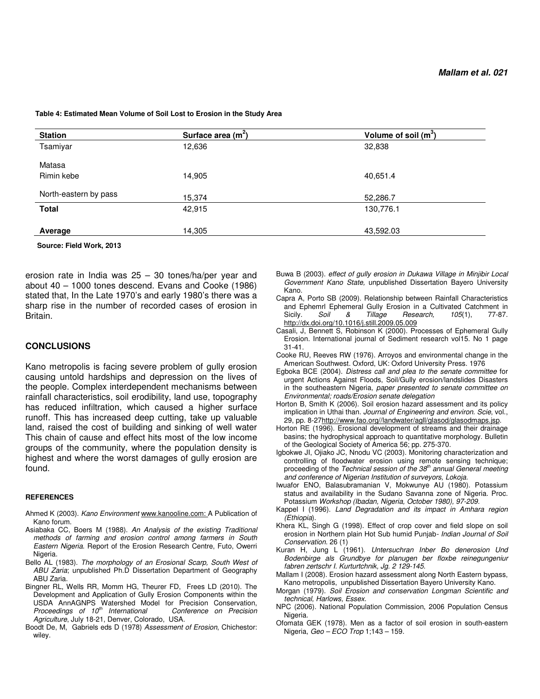| <b>Station</b>        | Surface area $(m2)$ | Volume of soil $(m^3)$ |
|-----------------------|---------------------|------------------------|
| Tsamiyar              | 12,636              | 32,838                 |
| Matasa<br>Rimin kebe  | 14,905              | 40,651.4               |
| North-eastern by pass | 15,374              | 52,286.7               |
| <b>Total</b>          | 42,915              | 130,776.1              |
| Average               | 14,305              | 43,592.03              |

 **Table 4: Estimated Mean Volume of Soil Lost to Erosion in the Study Area** 

 **Source: Field Work, 2013** 

erosion rate in India was 25 – 30 tones/ha/per year and about 40 – 1000 tones descend. Evans and Cooke (1986) stated that, In the Late 1970's and early 1980's there was a sharp rise in the number of recorded cases of erosion in Britain.

#### **CONCLUSIONS**

Kano metropolis is facing severe problem of gully erosion causing untold hardships and depression on the lives of the people. Complex interdependent mechanisms between rainfall characteristics, soil erodibility, land use, topography has reduced infiltration, which caused a higher surface runoff. This has increased deep cutting, take up valuable land, raised the cost of building and sinking of well water This chain of cause and effect hits most of the low income groups of the community, where the population density is highest and where the worst damages of gully erosion are found.

#### **REFERENCES**

- Ahmed K (2003). *Kano Environment* www.kanooline.com: A Publication of Kano forum.
- Asiabaka CC, Boers M (1988). *An Analysis of the existing Traditional methods of farming and erosion control among farmers in South Eastern Nigeria*. Report of the Erosion Research Centre, Futo, Owerri Nigeria.
- Bello AL (1983). *The morphology of an Erosional Scarp, South West of ABU Zaria*; unpublished Ph.D Dissertation Department of Geography ABU Zaria.
- Bingner RL, Wells RR, Momm HG, Theurer FD, Frees LD (2010). The Development and Application of Gully Erosion Components within the USDA AnnAGNPS Watershed Model for Precision Conservation,<br>Proceedings of 10<sup>th</sup> International Conference on Precision *Proceedings of 10<sup>th</sup> International Agriculture*, July 18-21, Denver, Colorado, USA.
- Boodt De, M, Gabriels eds D (1978) *Assessment of Erosion*, Chichestor: wiley.
- Buwa B (2003). *effect of gully erosion in Dukawa Village in Minjibir Local Government Kano State,* unpublished Dissertation Bayero University Kano.
- Capra A, Porto SB (2009). Relationship between Rainfall Characteristics and Ephemrl Ephemeral Gully Erosion in a Cultivated Catchment in<br>Sicily. Soil & Tillage Research, 105(1), 77-87.  $Besearch,$ http://dx.doi.org/10.1016/j.still.2009.05.009
- Casali, J, Bennett S, Robinson K (2000). Processes of Ephemeral Gully Erosion. International journal of Sediment research vol15. No 1 page 31-41.
- Cooke RU, Reeves RW (1976). Arroyos and environmental change in the American Southwest. Oxford, UK: Oxford University Press. 1976
- Egboka BCE (2004). *Distress call and plea to the senate committee* for urgent Actions Against Floods, Soil/Gully erosion/landslides Disasters in the southeastern Nigeria, *paper presented to senate committee on Environmental; roads/Erosion senate delegation*
- Horton B, Smith K (2006). Soil erosion hazard assessment and its policy implication in Uthai than. *Journal of Engineering and environ. Scie*, vol., 29, pp. 8-27http://www.fao.org//landwater/agll/glasod/glasodmaps.jsp.
- Horton RE (1996). Erosional development of streams and their drainage basins; the hydrophysical approach to quantitative morphology. Bulletin of the Geological Society of America 56; pp. 275-370.
- Igbokwe JI, Ojiako JC, Nnodu VC (2003). Monitoring characterization and controlling of floodwater erosion using remote sensing technique; proceeding of the *Technical session of the 38th annual General meeting and conference of Nigerian Institution of surveyors, Lokoja.*
- Iwuafor ENO, Balasubramanian V, Mokwunye AU (1980). Potassium status and availability in the Sudano Savanna zone of Nigeria. Proc. Potassium *Workshop (Ibadan, Nigeria, October 1980), 97-209.*
- Kappel I (1996). *Land Degradation and its impact in Amhara region (Ethiopia*).
- Khera KL, Singh G (1998). Effect of crop cover and field slope on soil erosion in Northern plain Hot Sub humid Punjab*- Indian Journal of Soil Conservation.* 26 (1)
- Kuran H, Jung L (1961). *Untersuchran Inber Bo denerosion Und Bodenbirge als Grundbye for planugen ber floxbe reinegungeniur fabren zertschr I. Kurturtchnik, Jg. 2 129-145.*
- Mallam I (2008). Erosion hazard assessment along North Eastern bypass, Kano metropolis, unpublished Dissertation Bayero University Kano.
- Morgan (1979). *Soil Erosion and conservation Longman Scientific and technical, Harlows, Essex.*
- NPC (2006). National Population Commission, 2006 Population Census Nigeria.
- Ofomata GEK (1978). Men as a factor of soil erosion in south-eastern Nigeria, *Geo – ECO Trop* 1;143 – 159.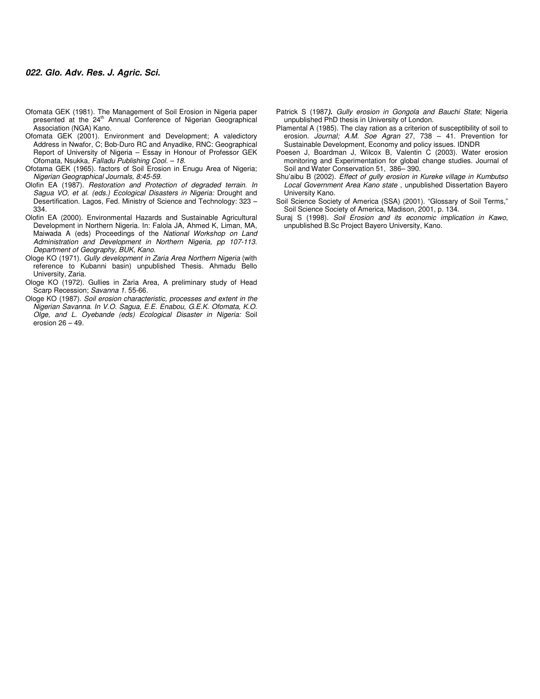- Ofomata GEK (1981). The Management of Soil Erosion in Nigeria paper presented at the 24<sup>th</sup> Annual Conference of Nigerian Geographical Association (NGA) Kano.
- Ofomata GEK (2001). Environment and Development; A valedictory Address in Nwafor, C; Bob-Duro RC and Anyadike, RNC: Geographical Report of University of Nigeria – Essay in Honour of Professor GEK Ofomata, Nsukka, *Falladu Publishing Cool. – 18.*
- Ofotama GEK (1965). factors of Soil Erosion in Enugu Area of Nigeria; *Nigerian Geographical Journals, 8:45-59.*
- Olofin EA (1987). *Restoration and Protection of degraded terrain. In Sagua VO, et al. (eds.) Ecological Disasters in Nigeria:* Drought and Desertification. Lagos, Fed. Ministry of Science and Technology: 323 – 334.
- Olofin EA (2000). Environmental Hazards and Sustainable Agricultural Development in Northern Nigeria. In: Falola JA, Ahmed K, Liman, MA, Maiwada A (eds) Proceedings of the *National Workshop on Land Administration and Development in Northern Nigeria, pp 107-113. Department of Geography, BUK, Kano.*
- Ologe KO (1971). *Gully development in Zaria Area Northern Nigeria* (with reference to Kubanni basin) unpublished Thesis. Ahmadu Bello University, Zaria.
- Ologe KO (1972). Gullies in Zaria Area, A preliminary study of Head Scarp Recession; *Savanna 1.* 55-66.
- Ologe KO (1987). *Soil erosion characteristic, processes and extent in the Nigerian Savanna. In V.O. Sagua, E.E. Enabou, G.E.K. Ofomata, K.O. Olge, and L. Oyebande (eds) Ecological Disaster in Nigeria:* Soil erosion 26 – 49.
- Patrick S (1987**).** *Gully erosion in Gongola and Bauchi State*; Nigeria unpublished PhD thesis in University of London.
- Plamental A (1985). The clay ration as a criterion of susceptibility of soil to erosion. *Journal; A.M. Soe Agran* 27, 738 – 41. Prevention for Sustainable Development, Economy and policy issues. IDNDR
- Poesen J, Boardman J, Wilcox B, Valentin C (2003). Water erosion monitoring and Experimentation for global change studies. Journal of Soil and Water Conservation 51, 386– 390.
- Shu'aibu B (2002). *Effect of gully erosion in Kureke village in Kumbutso Local Government Area Kano state* , unpublished Dissertation Bayero University Kano.
- Soil Science Society of America (SSA) (2001). "Glossary of Soil Terms," Soil Science Society of America, Madison, 2001, p. 134.
- Suraj S (1998). *Soil Erosion and its economic implication in Kawo*, unpublished B.Sc Project Bayero University, Kano.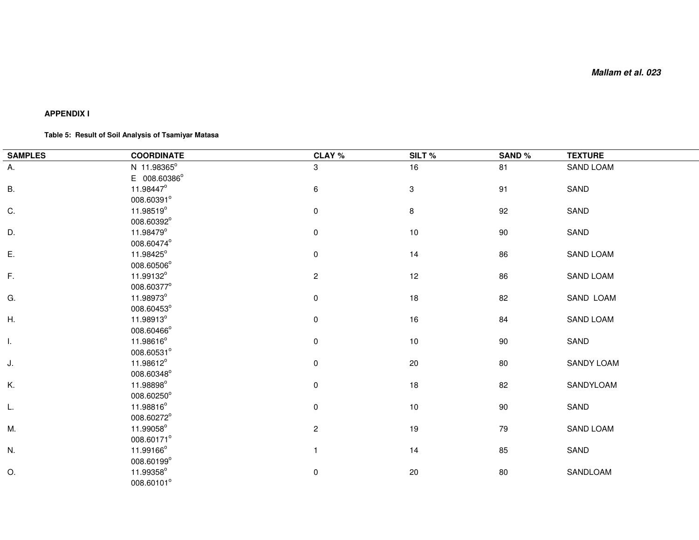# **APPENDIX I**

#### **Table 5: Result of Soil Analysis of Tsamiyar Matasa**

| <b>SAMPLES</b> | <b>COORDINATE</b>  | CLAY %         | SILT%        | <b>SAND%</b> | <b>TEXTURE</b> |
|----------------|--------------------|----------------|--------------|--------------|----------------|
| А.             | N 11.98365°        | 3              | 16           | 81           | SAND LOAM      |
|                | E 008.60386°       |                |              |              |                |
| В.             | 11.98447°          | $\,6\,$        | $\mathbf{3}$ | 91           | SAND           |
|                | 008.60391°         |                |              |              |                |
| C.             | 11.98519°          | $\pmb{0}$      | 8            | 92           | SAND           |
|                | 008.60392°         |                |              |              |                |
| D.             | 11.98479°          | $\pmb{0}$      | $10$         | 90           | SAND           |
|                | 008.60474°         |                |              |              |                |
| Ε.             | 11.98425°          | $\pmb{0}$      | 14           | 86           | SAND LOAM      |
|                | 008.60506°         |                |              |              |                |
| $F_{\rm{r}}$   | 11.99132°          | $\overline{c}$ | 12           | 86           | SAND LOAM      |
|                | 008.60377°         |                |              |              |                |
| G.             | 11.98973°          | $\pmb{0}$      | 18           | 82           | SAND LOAM      |
|                | 008.60453°         |                |              |              |                |
| Η.             | 11.98913°          | 0              | 16           | 84           | SAND LOAM      |
|                | 008.60466°         |                |              |              |                |
| Ι.             | $11.98616^{\circ}$ | $\pmb{0}$      | 10           | 90           | SAND           |
|                | 008.60531°         |                |              |              |                |
| J.             | 11.98612°          | 0              | $20\,$       | 80           | SANDY LOAM     |
|                | 008.60348°         |                |              |              |                |
| Κ.             | 11.98898°          | 0              | 18           | 82           | SANDYLOAM      |
|                | 008.60250°         |                |              |              |                |
| L.             | 11.98816°          | $\pmb{0}$      | $10$         | 90           | SAND           |
|                | 008.60272°         |                |              |              |                |
| М.             | 11.99058°          | $\overline{c}$ | 19           | 79           | SAND LOAM      |
|                | 008.60171°         |                |              |              |                |
| N.             | 11.99166°          | $\mathbf{1}$   | 14           | 85           | SAND           |
|                | 008.60199°         |                |              |              |                |
| O.             | 11.99358°          | $\pmb{0}$      | 20           | 80           | SANDLOAM       |
|                | 008.60101°         |                |              |              |                |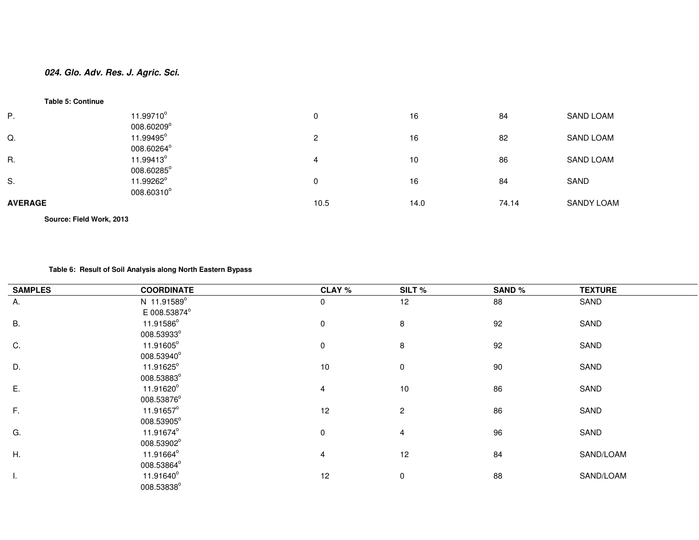#### **Table 5: Continue**

| P.             | 11.99710°<br>008.60209°  | 0              | 16   | 84    | <b>SAND LOAM</b>  |
|----------------|--------------------------|----------------|------|-------|-------------------|
| Q.             | 11.99495°<br>008.60264°  | $\overline{c}$ | 16   | 82    | <b>SAND LOAM</b>  |
| R.             | 11.99413°<br>008.60285°  | 4              | 10   | 86    | <b>SAND LOAM</b>  |
| S.             | 11.99262°<br>008.60310°  | 0              | 16   | 84    | SAND              |
| <b>AVERAGE</b> |                          | 10.5           | 14.0 | 74.14 | <b>SANDY LOAM</b> |
|                | Source: Field Work, 2013 |                |      |       |                   |

#### **Table 6: Result of Soil Analysis along North Eastern Bypass**

| <b>SAMPLES</b> | <b>COORDINATE</b> | <b>CLAY %</b>  | SILT%          | <b>SAND%</b> | <b>TEXTURE</b> |
|----------------|-------------------|----------------|----------------|--------------|----------------|
| Α.             | N 11.91589°       | 0              | 12             | 88           | SAND           |
|                | E 008.53874°      |                |                |              |                |
| В.             | 11.91586°         | 0              | 8              | 92           | SAND           |
|                | 008.53933°        |                |                |              |                |
| C.             | 11.91605°         | $\pmb{0}$      | 8              | 92           | SAND           |
|                | 008.53940°        |                |                |              |                |
| D.             | 11.91625°         | 10             | $\mathbf 0$    | 90           | SAND           |
|                | 008.53883°        |                |                |              |                |
| Ε.             | 11.91620°         | 4              | 10             | 86           | SAND           |
|                | 008.53876°        |                |                |              |                |
| $\mathsf F.$   | 11.91657°         | 12             | $\overline{2}$ | 86           | SAND           |
|                | 008.53905°        |                |                |              |                |
| G.             | 11.91674°         | $\pmb{0}$      | 4              | 96           | SAND           |
|                | 008.53902°        |                |                |              |                |
| Η.             | 11.91664°         | $\overline{4}$ | 12             | 84           | SAND/LOAM      |
|                | 008.53864°        |                |                |              |                |
| ı.             | 11.91640°         | 12             | 0              | 88           | SAND/LOAM      |
|                | 008.53838°        |                |                |              |                |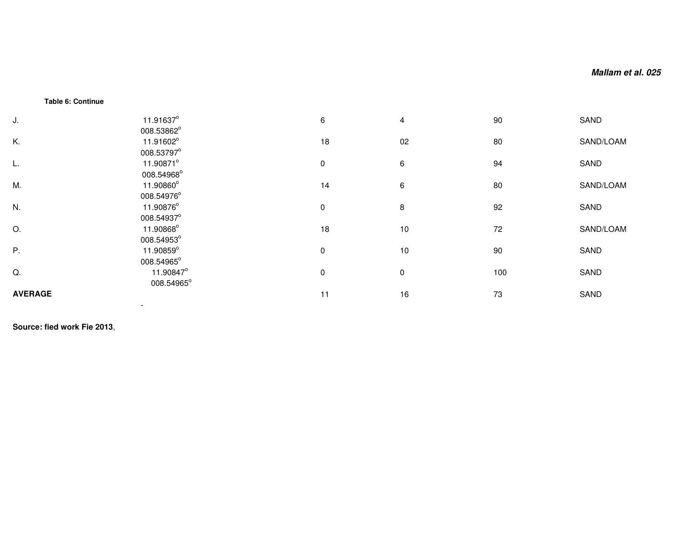#### **Table 6: Continue**

| J.             | 11.91637°                             | 6           | $\overline{4}$ | 90  | SAND      |
|----------------|---------------------------------------|-------------|----------------|-----|-----------|
| Κ.             | 008.53862°<br>11.91602°<br>008.53797° | 18          | 02             | 80  | SAND/LOAM |
| L.             | 11.90871°<br>008.54968°               | $\mathbf 0$ | 6              | 94  | SAND      |
| M.             | 11.90860°<br>008.54976°               | 14          | 6              | 80  | SAND/LOAM |
| N.             | 11.90876°<br>008.54937°               | $\mathbf 0$ | 8              | 92  | SAND      |
| O.             | 11.90868°<br>008.54953°               | 18          | 10             | 72  | SAND/LOAM |
| Ρ.             | 11.90859°<br>008.54965°               | $\mathbf 0$ | 10             | 90  | SAND      |
| Q.             | 11.90847°<br>008.54965°               | 0           | $\mathbf 0$    | 100 | SAND      |
| <b>AVERAGE</b> |                                       | 11          | 16             | 73  | SAND      |

**Source: fied work Fie 2013**,

-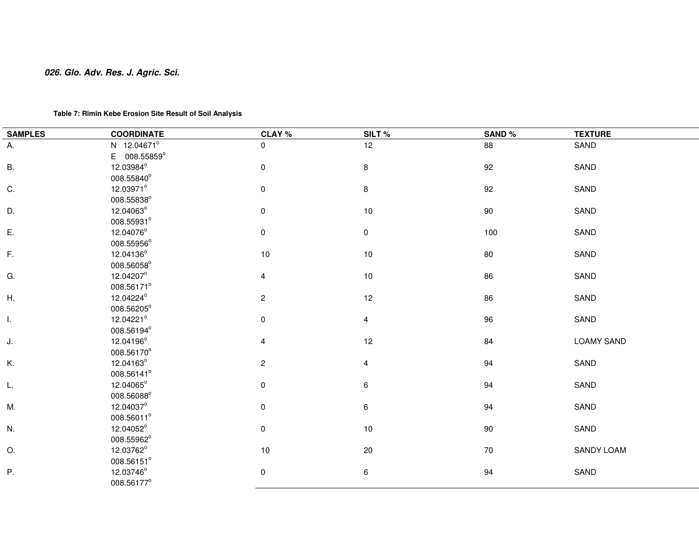# **Table 7: Rimin Kebe Erosion Site Result of Soil Analysis**

| <b>SAMPLES</b> | <b>COORDINATE</b> | CLAY %                  | SILT%     | SAND% | <b>TEXTURE</b>    |
|----------------|-------------------|-------------------------|-----------|-------|-------------------|
| Α.             | N 12.04671°       | $\mathbf 0$             | 12        | 88    | SAND              |
|                | E 008.55859°      |                         |           |       |                   |
| <b>B.</b>      | 12.03984°         | 0                       | 8         | 92    | SAND              |
|                | 008.55840°        |                         |           |       |                   |
| C.             | 12.03971°         | 0                       | 8         | 92    | SAND              |
|                | 008.55838°        |                         |           |       |                   |
| D.             | 12.04063°         | $\pmb{0}$               | $10$      | 90    | SAND              |
|                | 008.55931°        |                         |           |       |                   |
| Ε.             | 12.04076°         | 0                       | $\pmb{0}$ | 100   | SAND              |
|                | 008.55956°        |                         |           |       |                   |
| F.             | 12.04136°         | $10$                    | $10$      | 80    | SAND              |
|                | 008.56058°        |                         |           |       |                   |
| G.             | 12.04207°         | 4                       | 10        | 86    | SAND              |
|                | 008.56171°        |                         |           |       |                   |
| Η.             | 12.04224°         | $\overline{c}$          | 12        | 86    | SAND              |
|                | 008.56205°        |                         |           |       |                   |
| I.             | 12.04221°         | 0                       | 4         | 96    | SAND              |
|                | 008.56194°        |                         |           |       |                   |
| J.             | 12.04196°         | 4                       | 12        | 84    | <b>LOAMY SAND</b> |
|                | 008.56170°        |                         |           |       |                   |
| Κ.             | 12.04163°         | $\overline{\mathbf{c}}$ | 4         | 94    | SAND              |
|                | 008.56141°        |                         |           |       |                   |
| L.             | 12.04065°         | 0                       | 6         | 94    | SAND              |
|                | 008.56088°        |                         |           |       |                   |
| M.             | 12.04037°         | 0                       | 6         | 94    | SAND              |
|                | 008.56011°        |                         |           |       |                   |
| N.             | 12.04052°         | 0                       | 10        | 90    | SAND              |
|                | 008.55962°        |                         |           |       |                   |
| Ο.             | 12.03762°         | 10                      | 20        | 70    | SANDY LOAM        |
|                | 008.56151°        |                         |           |       |                   |
| Ρ.             | 12.03746°         | 0                       | 6         | 94    | SAND              |
|                | 008.56177°        |                         |           |       |                   |